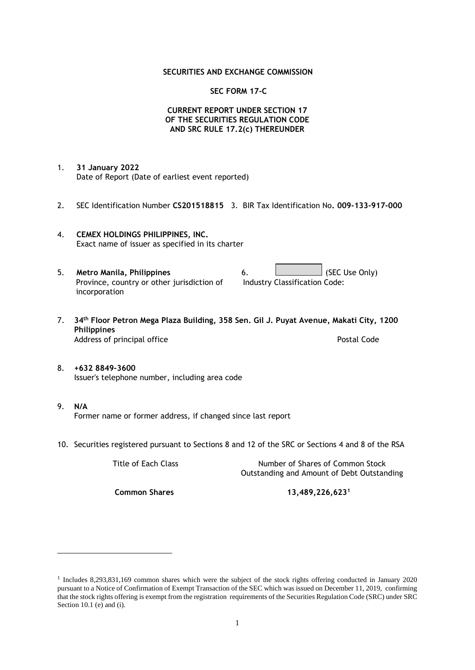## **SECURITIES AND EXCHANGE COMMISSION**

## **SEC FORM 17-C**

## **CURRENT REPORT UNDER SECTION 17 OF THE SECURITIES REGULATION CODE AND SRC RULE 17.2(c) THEREUNDER**

- 1. **31 January 2022** Date of Report (Date of earliest event reported)
- 2. SEC Identification Number **CS201518815** 3. BIR Tax Identification No**. 009-133-917-000**
- 4. **CEMEX HOLDINGS PHILIPPINES, INC.** Exact name of issuer as specified in its charter
- 5. **Metro Manila, Philippines** 6. **Consumers 6.** (SEC Use Only) Province, country or other jurisdiction of incorporation Industry Classification Code:
- 7. **34th Floor Petron Mega Plaza Building, 358 Sen. Gil J. Puyat Avenue, Makati City, 1200 Philippines** Address of principal office **Postal Code** Postal Code
- 8. **+632 8849-3600** Issuer's telephone number, including area code
- 9. **N/A** Former name or former address, if changed since last report
- 10. Securities registered pursuant to Sections 8 and 12 of the SRC or Sections 4 and 8 of the RSA

Title of Each Class Number of Shares of Common Stock Outstanding and Amount of Debt Outstanding

**Common Shares 13,489,226,623<sup>1</sup>**

<sup>1</sup> Includes 8,293,831,169 common shares which were the subject of the stock rights offering conducted in January 2020 pursuant to a Notice of Confirmation of Exempt Transaction of the SEC which was issued on December 11, 2019, confirming that the stock rights offering is exempt from the registration requirements of the Securities Regulation Code (SRC) under SRC Section 10.1 (e) and (i).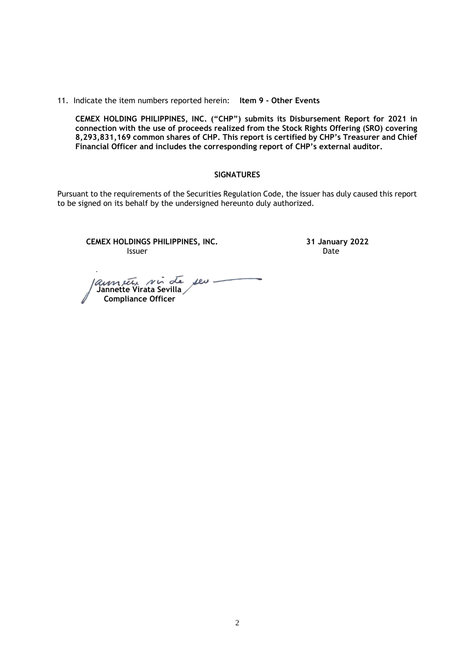#### 11. Indicate the item numbers reported herein: **Item 9 - Other Events**

**CEMEX HOLDING PHILIPPINES, INC. ("CHP") submits its Disbursement Report for 2021 in connection with the use of proceeds realized from the Stock Rights Offering (SRO) covering 8,293,831,169 common shares of CHP. This report is certified by CHP's Treasurer and Chief Financial Officer and includes the corresponding report of CHP's external auditor.** 

#### **SIGNATURES**

Pursuant to the requirements of the Securities Regulation Code, the issuer has duly caused this report to be signed on its behalf by the undersigned hereunto duly authorized.

**CEMEX HOLDINGS PHILIPPINES, INC. 31 January 2022 Issuer Date** 

 **Jannette Virata Sevilla Compliance Officer**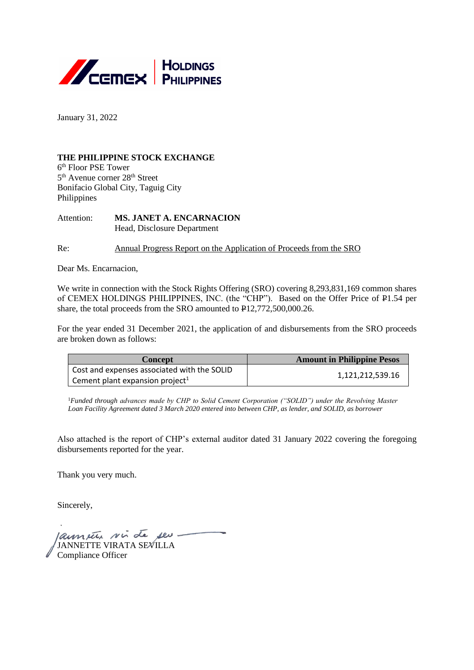

January 31, 2022

## **THE PHILIPPINE STOCK EXCHANGE**

6 th Floor PSE Tower 5<sup>th</sup> Avenue corner 28<sup>th</sup> Street Bonifacio Global City, Taguig City Philippines

Attention: **MS. JANET A. ENCARNACION** Head, Disclosure Department

Re: Annual Progress Report on the Application of Proceeds from the SRO

Dear Ms. Encarnacion,

We write in connection with the Stock Rights Offering (SRO) covering 8,293,831,169 common shares of CEMEX HOLDINGS PHILIPPINES, INC. (the "CHP"). Based on the Offer Price of P1.54 per share, the total proceeds from the SRO amounted to P12,772,500,000.26.

For the year ended 31 December 2021, the application of and disbursements from the SRO proceeds are broken down as follows:

| Concept                                     | <b>Amount in Philippine Pesos</b> |
|---------------------------------------------|-----------------------------------|
| Cost and expenses associated with the SOLID |                                   |
| Cement plant expansion project <sup>1</sup> | 1,121,212,539.16                  |

<sup>1</sup>Funded through advances made by CHP to Solid Cement Corporation ("SOLID") under the Revolving Master *Loan Facility Agreement dated 3 March 2020 entered into between CHP, as lender, and SOLID, as borrower*

Also attached is the report of CHP's external auditor dated 31 January 2022 covering the foregoing disbursements reported for the year.

Thank you very much.

Sincerely,

launeur sui de seu. JANNETTE VIRATA SEVILLA Compliance Officer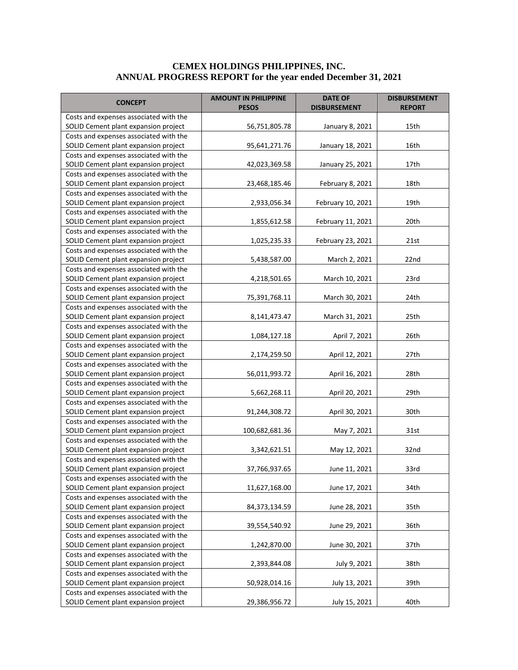### **CEMEX HOLDINGS PHILIPPINES, INC. ANNUAL PROGRESS REPORT for the year ended December 31, 2021**

| <b>CONCEPT</b>                                                                 | <b>AMOUNT IN PHILIPPINE</b><br><b>PESOS</b> | <b>DATE OF</b><br><b>DISBURSEMENT</b> | <b>DISBURSEMENT</b><br><b>REPORT</b> |  |
|--------------------------------------------------------------------------------|---------------------------------------------|---------------------------------------|--------------------------------------|--|
| Costs and expenses associated with the                                         |                                             |                                       |                                      |  |
| SOLID Cement plant expansion project                                           | 56,751,805.78                               | January 8, 2021                       | 15th                                 |  |
| Costs and expenses associated with the                                         |                                             |                                       |                                      |  |
| SOLID Cement plant expansion project                                           | 95,641,271.76                               | January 18, 2021                      | 16th                                 |  |
| Costs and expenses associated with the                                         |                                             |                                       |                                      |  |
| SOLID Cement plant expansion project                                           | 42,023,369.58                               | January 25, 2021                      | 17th                                 |  |
| Costs and expenses associated with the                                         |                                             |                                       |                                      |  |
| SOLID Cement plant expansion project                                           | 23,468,185.46                               | February 8, 2021                      | 18th                                 |  |
| Costs and expenses associated with the                                         |                                             |                                       |                                      |  |
| SOLID Cement plant expansion project                                           | 2,933,056.34                                | February 10, 2021                     | 19th                                 |  |
| Costs and expenses associated with the                                         |                                             |                                       |                                      |  |
| SOLID Cement plant expansion project                                           | 1,855,612.58                                | February 11, 2021                     | 20th                                 |  |
| Costs and expenses associated with the                                         |                                             |                                       |                                      |  |
| SOLID Cement plant expansion project<br>Costs and expenses associated with the | 1,025,235.33                                | February 23, 2021                     | 21st                                 |  |
| SOLID Cement plant expansion project                                           | 5,438,587.00                                | March 2, 2021                         | 22nd                                 |  |
| Costs and expenses associated with the                                         |                                             |                                       |                                      |  |
| SOLID Cement plant expansion project                                           | 4,218,501.65                                | March 10, 2021                        | 23rd                                 |  |
| Costs and expenses associated with the                                         |                                             |                                       |                                      |  |
| SOLID Cement plant expansion project                                           | 75,391,768.11                               | March 30, 2021                        | 24th                                 |  |
| Costs and expenses associated with the                                         |                                             |                                       |                                      |  |
| SOLID Cement plant expansion project                                           | 8,141,473.47                                | March 31, 2021                        | 25th                                 |  |
| Costs and expenses associated with the                                         |                                             |                                       |                                      |  |
| SOLID Cement plant expansion project                                           | 1,084,127.18                                | April 7, 2021                         | 26th                                 |  |
| Costs and expenses associated with the                                         |                                             |                                       |                                      |  |
| SOLID Cement plant expansion project                                           | 2,174,259.50                                | April 12, 2021                        | 27th                                 |  |
| Costs and expenses associated with the                                         |                                             |                                       |                                      |  |
| SOLID Cement plant expansion project                                           | 56,011,993.72                               | April 16, 2021                        | 28th                                 |  |
| Costs and expenses associated with the                                         |                                             |                                       |                                      |  |
| SOLID Cement plant expansion project                                           | 5,662,268.11                                | April 20, 2021                        | 29th                                 |  |
| Costs and expenses associated with the                                         |                                             |                                       |                                      |  |
| SOLID Cement plant expansion project                                           | 91,244,308.72                               | April 30, 2021                        | 30th                                 |  |
| Costs and expenses associated with the                                         |                                             |                                       |                                      |  |
| SOLID Cement plant expansion project                                           | 100,682,681.36                              | May 7, 2021                           | 31st                                 |  |
| Costs and expenses associated with the                                         |                                             |                                       |                                      |  |
| SOLID Cement plant expansion project                                           | 3,342,621.51                                | May 12, 2021                          | 32nd                                 |  |
| Costs and expenses associated with the                                         |                                             |                                       |                                      |  |
| SOLID Cement plant expansion project                                           | 37,766,937.65                               | June 11, 2021                         | 33rd                                 |  |
| Costs and expenses associated with the                                         |                                             |                                       |                                      |  |
| SOLID Cement plant expansion project                                           | 11,627,168.00                               | June 17, 2021                         | 34th                                 |  |
| Costs and expenses associated with the                                         |                                             |                                       | 35th                                 |  |
| SOLID Cement plant expansion project<br>Costs and expenses associated with the | 84,373,134.59                               | June 28, 2021                         |                                      |  |
| SOLID Cement plant expansion project                                           | 39,554,540.92                               | June 29, 2021                         | 36th                                 |  |
| Costs and expenses associated with the                                         |                                             |                                       |                                      |  |
| SOLID Cement plant expansion project                                           | 1,242,870.00                                | June 30, 2021                         | 37th                                 |  |
| Costs and expenses associated with the                                         |                                             |                                       |                                      |  |
| SOLID Cement plant expansion project                                           | 2,393,844.08                                | July 9, 2021                          | 38th                                 |  |
| Costs and expenses associated with the                                         |                                             |                                       |                                      |  |
| SOLID Cement plant expansion project                                           | 50,928,014.16                               | July 13, 2021                         | 39th                                 |  |
| Costs and expenses associated with the                                         |                                             |                                       |                                      |  |
| SOLID Cement plant expansion project                                           | 29,386,956.72                               | July 15, 2021                         | 40th                                 |  |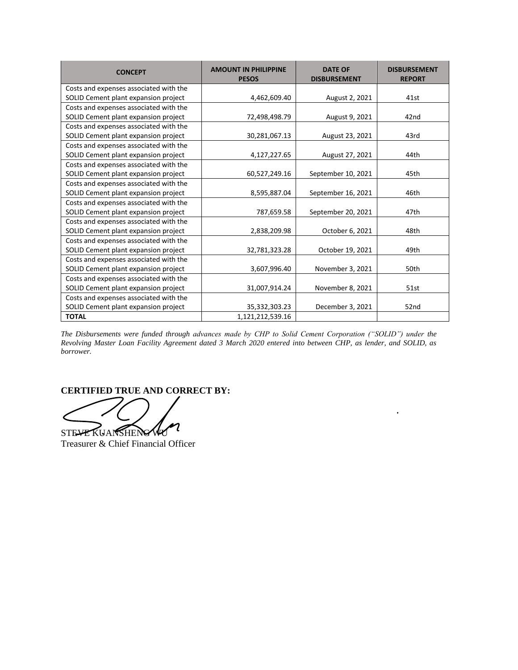| <b>CONCEPT</b>                         | <b>AMOUNT IN PHILIPPINE</b><br><b>PESOS</b> | <b>DATE OF</b><br><b>DISBURSEMENT</b> | <b>DISBURSEMENT</b><br><b>REPORT</b> |  |
|----------------------------------------|---------------------------------------------|---------------------------------------|--------------------------------------|--|
| Costs and expenses associated with the |                                             |                                       |                                      |  |
| SOLID Cement plant expansion project   | 4,462,609.40                                | August 2, 2021                        | 41st                                 |  |
| Costs and expenses associated with the |                                             |                                       |                                      |  |
| SOLID Cement plant expansion project   | 72,498,498.79                               | August 9, 2021                        | 42nd                                 |  |
| Costs and expenses associated with the |                                             |                                       |                                      |  |
| SOLID Cement plant expansion project   | 30,281,067.13                               | August 23, 2021                       | 43rd                                 |  |
| Costs and expenses associated with the |                                             |                                       |                                      |  |
| SOLID Cement plant expansion project   | 4,127,227.65                                | August 27, 2021                       | 44th                                 |  |
| Costs and expenses associated with the |                                             |                                       |                                      |  |
| SOLID Cement plant expansion project   | 60,527,249.16                               | September 10, 2021                    | 45th                                 |  |
| Costs and expenses associated with the |                                             |                                       |                                      |  |
| SOLID Cement plant expansion project   | 8,595,887.04                                | September 16, 2021                    | 46th                                 |  |
| Costs and expenses associated with the |                                             |                                       |                                      |  |
| SOLID Cement plant expansion project   | 787,659.58                                  | September 20, 2021                    | 47th                                 |  |
| Costs and expenses associated with the |                                             |                                       |                                      |  |
| SOLID Cement plant expansion project   | 2,838,209.98                                | October 6, 2021                       | 48th                                 |  |
| Costs and expenses associated with the |                                             |                                       |                                      |  |
| SOLID Cement plant expansion project   | 32,781,323.28                               | October 19, 2021                      | 49th                                 |  |
| Costs and expenses associated with the |                                             |                                       |                                      |  |
| SOLID Cement plant expansion project   | 3,607,996.40                                | November 3, 2021                      | 50th                                 |  |
| Costs and expenses associated with the |                                             |                                       |                                      |  |
| SOLID Cement plant expansion project   | 31,007,914.24                               | November 8, 2021                      | 51st                                 |  |
| Costs and expenses associated with the |                                             |                                       |                                      |  |
| SOLID Cement plant expansion project   | 35,332,303.23                               | December 3, 2021                      | 52nd                                 |  |
| <b>TOTAL</b>                           | 1,121,212,539.16                            |                                       |                                      |  |

*The Disbursements were funded through advances made by CHP to Solid Cement Corporation ("SOLID") under the Revolving Master Loan Facility Agreement dated 3 March 2020 entered into between CHP, as lender, and SOLID, as borrower.*

 $\ddot{\phantom{0}}$ 

# **CERTIFIED TRUE AND CORRECT BY:**

2 STEVE KUANSHENG WU

Treasurer & Chief Financial Officer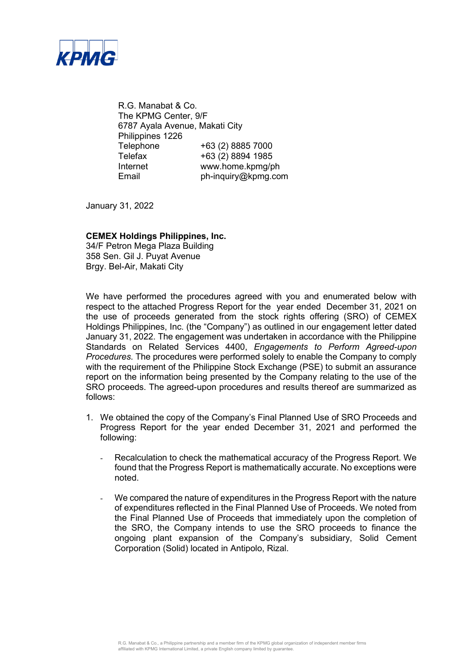

R.G. Manabat & Co. The KPMG Center, 9/F 6787 Ayala Avenue, Makati City Philippines 1226 Telephone +63 (2) 8885 7000 Telefax +63 (2) 8894 1985 Internet www.home.kpmg/ph Email ph-inquiry@kpmg.com

January 31, 2022

## **CEMEX Holdings Philippines, Inc.**

34/F Petron Mega Plaza Building 358 Sen. Gil J. Puyat Avenue Brgy. Bel-Air, Makati City

We have performed the procedures agreed with you and enumerated below with respect to the attached Progress Report for the year ended December 31, 2021 on the use of proceeds generated from the stock rights offering (SRO) of CEMEX Holdings Philippines, Inc. (the "Company") as outlined in our engagement letter dated January 31, 2022. The engagement was undertaken in accordance with the Philippine Standards on Related Services 4400, *Engagements to Perform Agreed-upon Procedures*. The procedures were performed solely to enable the Company to comply with the requirement of the Philippine Stock Exchange (PSE) to submit an assurance report on the information being presented by the Company relating to the use of the SRO proceeds. The agreed-upon procedures and results thereof are summarized as follows:

- 1. We obtained the copy of the Company's Final Planned Use of SRO Proceeds and Progress Report for the year ended December 31, 2021 and performed the following:
	- Recalculation to check the mathematical accuracy of the Progress Report. We found that the Progress Report is mathematically accurate. No exceptions were noted.
	- We compared the nature of expenditures in the Progress Report with the nature of expenditures reflected in the Final Planned Use of Proceeds. We noted from the Final Planned Use of Proceeds that immediately upon the completion of the SRO, the Company intends to use the SRO proceeds to finance the ongoing plant expansion of the Company's subsidiary, Solid Cement Corporation (Solid) located in Antipolo, Rizal.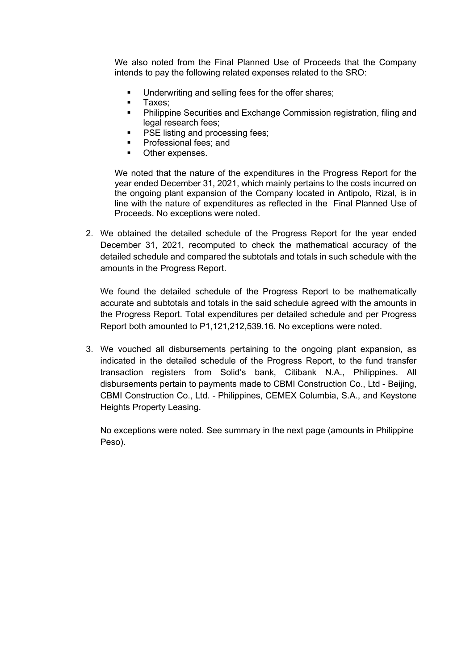We also noted from the Final Planned Use of Proceeds that the Company intends to pay the following related expenses related to the SRO:

- Underwriting and selling fees for the offer shares;
- **Taxes**;<br>**Philinni**
- Philippine Securities and Exchange Commission registration, filing and legal research fees;
- **PSE listing and processing fees;**
- Professional fees; and
- **•** Other expenses.

We noted that the nature of the expenditures in the Progress Report for the year ended December 31, 2021, which mainly pertains to the costs incurred on the ongoing plant expansion of the Company located in Antipolo, Rizal, is in line with the nature of expenditures as reflected in the Final Planned Use of Proceeds. No exceptions were noted.

2. We obtained the detailed schedule of the Progress Report for the year ended December 31, 2021, recomputed to check the mathematical accuracy of the detailed schedule and compared the subtotals and totals in such schedule with the amounts in the Progress Report.

We found the detailed schedule of the Progress Report to be mathematically accurate and subtotals and totals in the said schedule agreed with the amounts in the Progress Report. Total expenditures per detailed schedule and per Progress Report both amounted to P1,121,212,539.16. No exceptions were noted.

3. We vouched all disbursements pertaining to the ongoing plant expansion, as indicated in the detailed schedule of the Progress Report, to the fund transfer transaction registers from Solid's bank, Citibank N.A., Philippines. All disbursements pertain to payments made to CBMI Construction Co., Ltd - Beijing, CBMI Construction Co., Ltd. - Philippines, CEMEX Columbia, S.A., and Keystone Heights Property Leasing.

No exceptions were noted. See summary in the next page (amounts in Philippine Peso).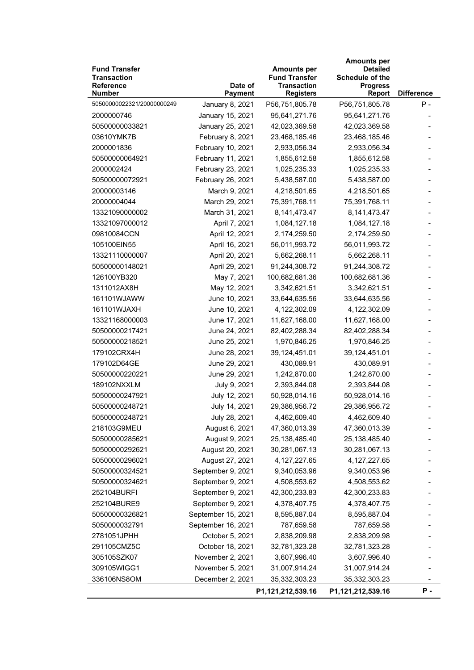| <b>Fund Transfer</b><br><b>Transaction</b><br><b>Reference</b> | Date of            | <b>Amounts per</b><br><b>Fund Transfer</b><br><b>Transaction</b> | <b>Amounts per</b><br><b>Detailed</b><br>Schedule of the<br><b>Progress</b> |                   |
|----------------------------------------------------------------|--------------------|------------------------------------------------------------------|-----------------------------------------------------------------------------|-------------------|
| <b>Number</b>                                                  | <b>Payment</b>     | <b>Registers</b>                                                 | Report                                                                      | <b>Difference</b> |
| 50500000022321/20000000249                                     | January 8, 2021    | P56,751,805.78                                                   | P56,751,805.78                                                              | $P -$             |
| 2000000746                                                     | January 15, 2021   | 95,641,271.76                                                    | 95,641,271.76                                                               |                   |
| 50500000033821                                                 | January 25, 2021   | 42,023,369.58                                                    | 42,023,369.58                                                               |                   |
| 03610YMK7B                                                     | February 8, 2021   | 23,468,185.46                                                    | 23,468,185.46                                                               |                   |
| 2000001836                                                     | February 10, 2021  | 2,933,056.34                                                     | 2,933,056.34                                                                |                   |
| 50500000064921                                                 | February 11, 2021  | 1,855,612.58                                                     | 1,855,612.58                                                                |                   |
| 2000002424                                                     | February 23, 2021  | 1,025,235.33                                                     | 1,025,235.33                                                                |                   |
| 50500000072921                                                 | February 26, 2021  | 5,438,587.00                                                     | 5,438,587.00                                                                |                   |
| 20000003146                                                    | March 9, 2021      | 4,218,501.65                                                     | 4,218,501.65                                                                |                   |
| 20000004044                                                    | March 29, 2021     | 75,391,768.11                                                    | 75,391,768.11                                                               |                   |
| 13321090000002                                                 | March 31, 2021     | 8, 141, 473. 47                                                  | 8,141,473.47                                                                |                   |
| 13321097000012                                                 | April 7, 2021      | 1,084,127.18                                                     | 1,084,127.18                                                                |                   |
| 09810084CCN                                                    | April 12, 2021     | 2,174,259.50                                                     | 2,174,259.50                                                                |                   |
| 105100EIN55                                                    | April 16, 2021     | 56,011,993.72                                                    | 56,011,993.72                                                               |                   |
| 13321110000007                                                 | April 20, 2021     | 5,662,268.11                                                     | 5,662,268.11                                                                |                   |
| 50500000148021                                                 | April 29, 2021     | 91,244,308.72                                                    | 91,244,308.72                                                               |                   |
| 126100YB320                                                    | May 7, 2021        | 100,682,681.36                                                   | 100,682,681.36                                                              |                   |
| 1311012AX8H                                                    | May 12, 2021       | 3,342,621.51                                                     | 3,342,621.51                                                                |                   |
| 161101WJAWW                                                    | June 10, 2021      | 33,644,635.56                                                    | 33,644,635.56                                                               |                   |
| 161101WJAXH                                                    | June 10, 2021      | 4,122,302.09                                                     | 4,122,302.09                                                                |                   |
| 13321168000003                                                 | June 17, 2021      | 11,627,168.00                                                    | 11,627,168.00                                                               |                   |
| 50500000217421                                                 | June 24, 2021      | 82,402,288.34                                                    | 82,402,288.34                                                               |                   |
| 50500000218521                                                 | June 25, 2021      | 1,970,846.25                                                     | 1,970,846.25                                                                |                   |
| 179102CRX4H                                                    | June 28, 2021      | 39,124,451.01                                                    | 39,124,451.01                                                               |                   |
| 179102D64GE                                                    | June 29, 2021      | 430,089.91                                                       | 430,089.91                                                                  |                   |
| 50500000220221                                                 | June 29, 2021      | 1,242,870.00                                                     | 1,242,870.00                                                                |                   |
| 189102NXXLM                                                    | July 9, 2021       | 2,393,844.08                                                     | 2,393,844.08                                                                |                   |
| 50500000247921                                                 | July 12, 2021      | 50,928,014.16                                                    | 50,928,014.16                                                               |                   |
| 50500000248721                                                 | July 14, 2021      | 29,386,956.72                                                    | 29,386,956.72                                                               |                   |
| 50500000248721                                                 | July 28, 2021      | 4,462,609.40                                                     | 4,462,609.40                                                                |                   |
| 218103G9MEU                                                    | August 6, 2021     | 47,360,013.39                                                    | 47,360,013.39                                                               |                   |
| 50500000285621                                                 | August 9, 2021     | 25,138,485.40                                                    | 25,138,485.40                                                               |                   |
| 50500000292621                                                 | August 20, 2021    | 30,281,067.13                                                    | 30,281,067.13                                                               |                   |
| 50500000296021                                                 | August 27, 2021    | 4, 127, 227.65                                                   | 4, 127, 227.65                                                              |                   |
| 50500000324521                                                 | September 9, 2021  | 9,340,053.96                                                     | 9,340,053.96                                                                |                   |
| 50500000324621                                                 | September 9, 2021  | 4,508,553.62                                                     | 4,508,553.62                                                                |                   |
| 252104BURFI                                                    | September 9, 2021  | 42,300,233.83                                                    | 42,300,233.83                                                               |                   |
| 252104BURE9                                                    | September 9, 2021  | 4,378,407.75                                                     | 4,378,407.75                                                                |                   |
| 50500000326821                                                 | September 15, 2021 | 8,595,887.04                                                     | 8,595,887.04                                                                |                   |
| 5050000032791                                                  | September 16, 2021 | 787,659.58                                                       | 787,659.58                                                                  |                   |
| 2781051JPHH                                                    | October 5, 2021    | 2,838,209.98                                                     | 2,838,209.98                                                                |                   |
| 291105CMZ5C                                                    | October 18, 2021   | 32,781,323.28                                                    | 32,781,323.28                                                               |                   |
|                                                                |                    |                                                                  | 3,607,996.40                                                                |                   |
| 305105SZK07                                                    | November 2, 2021   | 3,607,996.40                                                     |                                                                             |                   |
| 309105WIGG1                                                    | November 5, 2021   | 31,007,914.24                                                    | 31,007,914.24                                                               |                   |
| 336106NS8OM                                                    | December 2, 2021   | 35,332,303.23                                                    | 35,332,303.23                                                               |                   |